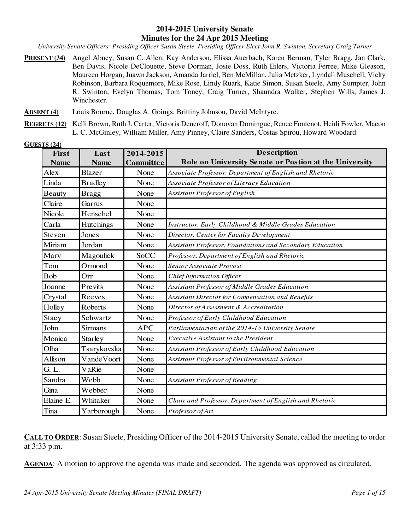#### **2014-2015 University Senate Minutes for the 24 Apr 2015 Meeting**

*University Senate Officers: Presiding Officer Susan Steele, Presiding Officer Elect John R. Swinton, Secretary Craig Turner* 

**PRESENT (34)** Angel Abney, Susan C. Allen, Kay Anderson, Elissa Auerbach, Karen Berman, Tyler Bragg, Jan Clark, Ben Davis, Nicole DeClouette, Steve Dorman, Josie Doss, Ruth Eilers, Victoria Ferree, Mike Gleason, Maureen Horgan, Juawn Jackson, Amanda Jarriel, Ben McMillan, Julia Metzker, Lyndall Muschell, Vicky Robinson, Barbara Roquemore, Mike Rose, Lindy Ruark, Katie Simon, Susan Steele, Amy Sumpter, John R. Swinton, Evelyn Thomas, Tom Toney, Craig Turner, Shaundra Walker, Stephen Wills, James J. Winchester.

**ABSENT (4)** Louis Bourne, Douglas A. Goings, Brittiny Johnson, David McIntyre.

**REGRETS (12)** Kelli Brown, Ruth J. Carter, Victoria Deneroff, Donovan Domingue, Renee Fontenot, Heidi Fowler, Macon L. C. McGinley, William Miller, Amy Pinney, Claire Sanders, Costas Spirou, Howard Woodard.

| First         | Last           | 2014-2015        | <b>Description</b>                                       |
|---------------|----------------|------------------|----------------------------------------------------------|
| <b>Name</b>   | <b>Name</b>    | <b>Committee</b> | Role on University Senate or Postion at the University   |
| Alex          | <b>Blazer</b>  | None             | Associate Professor, Department of English and Rhetoric  |
| Linda         | <b>Bradley</b> | None             | Associate Professor of Literacy Education                |
| <b>Beauty</b> | <b>Bragg</b>   | None             | Assistant Professor of English                           |
| Claire        | Garrus         | None             |                                                          |
| Nicole        | Henschel       | None             |                                                          |
| Carla         | Hutchings      | None             | Instructor, Early Childhood & Middle Grades Education    |
| Steven        | Jones          | None             | Director, Center for Faculty Development                 |
| Miriam        | Jordan         | None             | Assistant Professor, Foundations and Secondary Education |
| Mary          | Magoulick      | SoCC             | Professor, Department of English and Rhetoric            |
| Tom           | Ormond         | None             | Senior Associate Provost                                 |
| Bob           | Orr            | None             | Chief Information Officer                                |
| Joanne        | Previts        | None             | Assistant Professor of Middle Grades Education           |
| Crystal       | Reeves         | None             | Assistant Director for Compensation and Benefits         |
| Holley        | <b>Roberts</b> | None             | Director of Assessment & Accreditation                   |
| Stacy         | Schwartz       | None             | Professor of Early Childhood Education                   |
| John          | <b>Sirmans</b> | <b>APC</b>       | Parliamentarian of the 2014-15 University Senate         |
| Monica        | <b>Starley</b> | None             | <b>Executive Assistant to the President</b>              |
| Olha          | Tsarykovska    | None             | Assistant Professor of Early Childhood Education         |
| Allison       | VandeVoort     | None             | Assistant Professor of Enviironmental Science            |
| G. L.         | VaRie          | None             |                                                          |
| Sandra        | Webb           | None             | Assistant Professor of Reading                           |
| Gina          | Webber         | None             |                                                          |
| Elaine E.     | Whitaker       | None             | Chair and Professor, Department of English and Rhetoric  |
| Tina          | Yarborough     | None             | Professor of Art                                         |

**GUESTS (24)**

**CALL TO ORDER:** Susan Steele, Presiding Officer of the 2014-2015 University Senate, called the meeting to order at 3:33 p.m.

**AGENDA:** A motion to approve the agenda was made and seconded. The agenda was approved as circulated.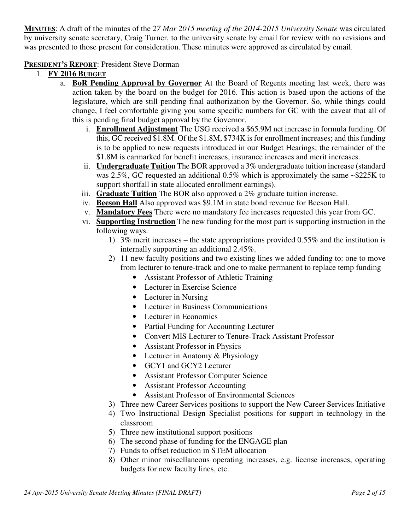**MINUTES**: A draft of the minutes of the *27 Mar 2015 meeting of the 2014-2015 University Senate* was circulated by university senate secretary, Craig Turner, to the university senate by email for review with no revisions and was presented to those present for consideration. These minutes were approved as circulated by email.

### **PRESIDENT'S REPORT**: President Steve Dorman

- 1. **FY 2016 BUDGET**
	- a. **BoR Pending Approval by Governor** At the Board of Regents meeting last week, there was action taken by the board on the budget for 2016. This action is based upon the actions of the legislature, which are still pending final authorization by the Governor. So, while things could change, I feel comfortable giving you some specific numbers for GC with the caveat that all of this is pending final budget approval by the Governor.
		- i. **Enrollment Adjustment** The USG received a \$65.9M net increase in formula funding. Of this, GC received \$1.8M. Of the \$1.8M, \$734K is for enrollment increases; and this funding is to be applied to new requests introduced in our Budget Hearings; the remainder of the \$1.8M is earmarked for benefit increases, insurance increases and merit increases.
		- ii. **Undergraduate Tuitio**n The BOR approved a 3% undergraduate tuition increase (standard was 2.5%, GC requested an additional 0.5% which is approximately the same ~\$225K to support shortfall in state allocated enrollment earnings).
		- iii. **Graduate Tuition** The BOR also approved a 2% graduate tuition increase.
		- iv. **Beeson Hall** Also approved was \$9.1M in state bond revenue for Beeson Hall.
		- v. **Mandatory Fees** There were no mandatory fee increases requested this year from GC.
		- vi. **Supporting Instruction** The new funding for the most part is supporting instruction in the following ways.
			- 1) 3% merit increases the state appropriations provided 0.55% and the institution is internally supporting an additional 2.45%.
			- 2) 11 new faculty positions and two existing lines we added funding to: one to move from lecturer to tenure-track and one to make permanent to replace temp funding
				- Assistant Professor of Athletic Training
				- Lecturer in Exercise Science
				- Lecturer in Nursing
				- Lecturer in Business Communications
				- Lecturer in Economics
				- Partial Funding for Accounting Lecturer
				- Convert MIS Lecturer to Tenure-Track Assistant Professor
				- Assistant Professor in Physics
				- Lecturer in Anatomy & Physiology
				- GCY1 and GCY2 Lecturer
				- Assistant Professor Computer Science
				- Assistant Professor Accounting
				- Assistant Professor of Environmental Sciences
			- 3) Three new Career Services positions to support the New Career Services Initiative
			- 4) Two Instructional Design Specialist positions for support in technology in the classroom
			- 5) Three new institutional support positions
			- 6) The second phase of funding for the ENGAGE plan
			- 7) Funds to offset reduction in STEM allocation
			- 8) Other minor miscellaneous operating increases, e.g. license increases, operating budgets for new faculty lines, etc.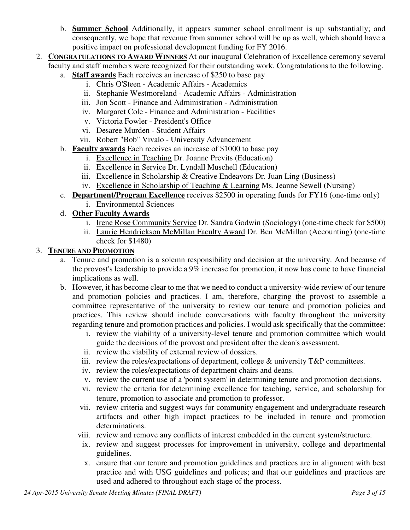- b. **Summer School** Additionally, it appears summer school enrollment is up substantially; and consequently, we hope that revenue from summer school will be up as well, which should have a positive impact on professional development funding for FY 2016.
- 2. **CONGRATULATIONS TO AWARD WINNERS** At our inaugural Celebration of Excellence ceremony several faculty and staff members were recognized for their outstanding work. Congratulations to the following.
	- a. **Staff awards** Each receives an increase of \$250 to base pay
		- i. Chris O'Steen Academic Affairs Academics
		- ii. Stephanie Westmoreland Academic Affairs Administration
		- iii. Jon Scott Finance and Administration Administration
		- iv. Margaret Cole Finance and Administration Facilities
		- v. Victoria Fowler President's Office
		- vi. Desaree Murden Student Affairs
		- vii. Robert "Bob" Vivalo University Advancement
	- b. **Faculty awards** Each receives an increase of \$1000 to base pay
		- i. Excellence in Teaching Dr. Joanne Previts (Education)
		- ii. Excellence in Service Dr. Lyndall Muschell (Education)
		- iii. Excellence in Scholarship  $&$  Creative Endeavors Dr. Juan Ling (Business)
		- iv. Excellence in Scholarship of Teaching & Learning Ms. Jeanne Sewell (Nursing)
	- c. **Department/Program Excellence** receives \$2500 in operating funds for FY16 (one-time only)
		- i. Environmental Sciences
	- d. **Other Faculty Awards**
		- i. Irene Rose Community Service Dr. Sandra Godwin (Sociology) (one-time check for \$500)
		- ii. Laurie Hendrickson McMillan Faculty Award Dr. Ben McMillan (Accounting) (one-time check for \$1480)

### 3. **TENURE AND PROMOTION**

- a. Tenure and promotion is a solemn responsibility and decision at the university. And because of the provost's leadership to provide a 9% increase for promotion, it now has come to have financial implications as well.
- b. However, it has become clear to me that we need to conduct a university-wide review of our tenure and promotion policies and practices. I am, therefore, charging the provost to assemble a committee representative of the university to review our tenure and promotion policies and practices. This review should include conversations with faculty throughout the university regarding tenure and promotion practices and policies. I would ask specifically that the committee:
	- i. review the viability of a university-level tenure and promotion committee which would guide the decisions of the provost and president after the dean's assessment.
	- ii. review the viability of external review of dossiers.
	- iii. review the roles/expectations of department, college  $\&$  university T&P committees.
	- iv. review the roles/expectations of department chairs and deans.
	- v. review the current use of a 'point system' in determining tenure and promotion decisions.
	- vi. review the criteria for determining excellence for teaching, service, and scholarship for tenure, promotion to associate and promotion to professor.
	- vii. review criteria and suggest ways for community engagement and undergraduate research artifacts and other high impact practices to be included in tenure and promotion determinations.
	- viii. review and remove any conflicts of interest embedded in the current system/structure.
	- ix. review and suggest processes for improvement in university, college and departmental guidelines.
	- x. ensure that our tenure and promotion guidelines and practices are in alignment with best practice and with USG guidelines and polices; and that our guidelines and practices are used and adhered to throughout each stage of the process.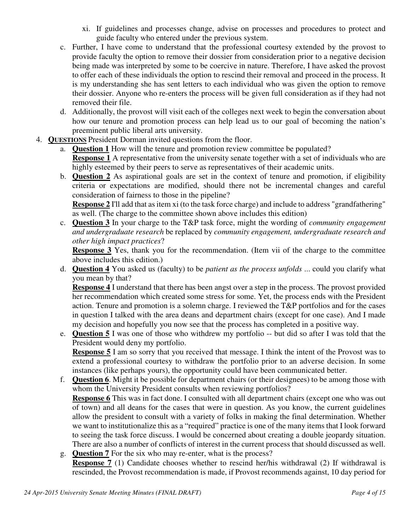- xi. If guidelines and processes change, advise on processes and procedures to protect and guide faculty who entered under the previous system.
- c. Further, I have come to understand that the professional courtesy extended by the provost to provide faculty the option to remove their dossier from consideration prior to a negative decision being made was interpreted by some to be coercive in nature. Therefore, I have asked the provost to offer each of these individuals the option to rescind their removal and proceed in the process. It is my understanding she has sent letters to each individual who was given the option to remove their dossier. Anyone who re-enters the process will be given full consideration as if they had not removed their file.
- d. Additionally, the provost will visit each of the colleges next week to begin the conversation about how our tenure and promotion process can help lead us to our goal of becoming the nation's preeminent public liberal arts university.
- 4. **QUESTIONS** President Dorman invited questions from the floor.
	- a. **Question 1** How will the tenure and promotion review committee be populated? **Response 1** A representative from the university senate together with a set of individuals who are highly esteemed by their peers to serve as representatives of their academic units.
	- b. **Question 2** As aspirational goals are set in the context of tenure and promotion, if eligibility criteria or expectations are modified, should there not be incremental changes and careful consideration of fairness to those in the pipeline?

**Response 2** I'll add that as item xi (to the task force charge) and include to address "grandfathering" as well. (The charge to the committee shown above includes this edition)

c. **Question 3** In your charge to the T&P task force, might the wording of *community engagement and undergraduate research* be replaced by *community engagement, undergraduate research and other high impact practices*?

**Response 3** Yes, thank you for the recommendation. (Item vii of the charge to the committee above includes this edition.)

d. **Question 4** You asked us (faculty) to be *patient as the process unfolds* ... could you clarify what you mean by that?

**Response 4** I understand that there has been angst over a step in the process. The provost provided her recommendation which created some stress for some. Yet, the process ends with the President action. Tenure and promotion is a solemn charge. I reviewed the T&P portfolios and for the cases in question I talked with the area deans and department chairs (except for one case). And I made my decision and hopefully you now see that the process has completed in a positive way.

e. **Question 5** I was one of those who withdrew my portfolio -- but did so after I was told that the President would deny my portfolio.

**Response 5** I am so sorry that you received that message. I think the intent of the Provost was to extend a professional courtesy to withdraw the portfolio prior to an adverse decision. In some instances (like perhaps yours), the opportunity could have been communicated better.

f. **Question 6**. Might it be possible for department chairs (or their designees) to be among those with whom the University President consults when reviewing portfolios?

**Response 6** This was in fact done. I consulted with all department chairs (except one who was out of town) and all deans for the cases that were in question. As you know, the current guidelines allow the president to consult with a variety of folks in making the final determination. Whether we want to institutionalize this as a "required" practice is one of the many items that I look forward to seeing the task force discuss. I would be concerned about creating a double jeopardy situation. There are also a number of conflicts of interest in the current process that should discussed as well.

g. **Question 7** For the six who may re-enter, what is the process? **Response 7** (1) Candidate chooses whether to rescind her/his withdrawal (2) If withdrawal is rescinded, the Provost recommendation is made, if Provost recommends against, 10 day period for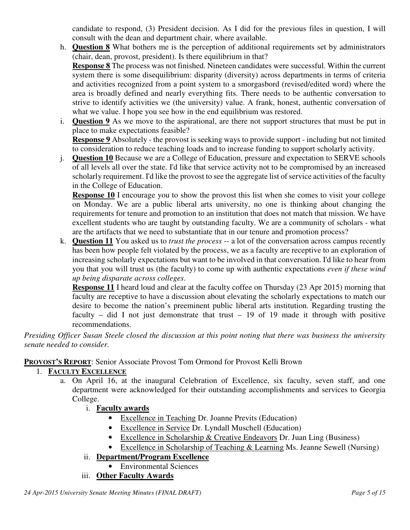candidate to respond, (3) President decision. As I did for the previous files in question, I will consult with the dean and department chair, where available.

h. **Question 8** What bothers me is the perception of additional requirements set by administrators (chair, dean, provost, president). Is there equilibrium in that?

**Response 8** The process was not finished. Nineteen candidates were successful. Within the current system there is some disequilibrium: disparity (diversity) across departments in terms of criteria and activities recognized from a point system to a smorgasbord (revised/edited word) where the area is broadly defined and nearly everything fits. There needs to be authentic conversation to strive to identify activities we (the university) value. A frank, honest, authentic conversation of what we value. I hope you see how in the end equilibrium was restored.

i. **Question 9** As we move to the aspirational, are there not support structures that must be put in place to make expectations feasible?

**Response 9** Absolutely - the provost is seeking ways to provide support - including but not limited to consideration to reduce teaching loads and to increase funding to support scholarly activity.

j. **Question 10** Because we are a College of Education, pressure and expectation to SERVE schools of all levels all over the state. I'd like that service activity not to be compromised by an increased scholarly requirement. I'd like the provost to see the aggregate list of service activities of the faculty in the College of Education.

**Response 10** I encourage you to show the provost this list when she comes to visit your college on Monday. We are a public liberal arts university, no one is thinking about changing the requirements for tenure and promotion to an institution that does not match that mission. We have excellent students who are taught by outstanding faculty. We are a community of scholars - what are the artifacts that we need to substantiate that in our tenure and promotion process?

k. **Question 11** You asked us to *trust the process* -- a lot of the conversation across campus recently has been how people felt violated by the process, we as a faculty are receptive to an exploration of increasing scholarly expectations but want to be involved in that conversation. I'd like to hear from you that you will trust us (the faculty) to come up with authentic expectations *even if these wind up being disparate across colleges*.

**Response 11** I heard loud and clear at the faculty coffee on Thursday (23 Apr 2015) morning that faculty are receptive to have a discussion about elevating the scholarly expectations to match our desire to become the nation's preeminent public liberal arts institution. Regarding trusting the faculty – did I not just demonstrate that trust  $-19$  of 19 made it through with positive recommendations.

*Presiding Officer Susan Steele closed the discussion at this point noting that there was business the university senate needed to consider.* 

**PROVOST'S REPORT**: Senior Associate Provost Tom Ormond for Provost Kelli Brown

### 1. **FACULTY EXCELLENCE**

- a. On April 16, at the inaugural Celebration of Excellence, six faculty, seven staff, and one department were acknowledged for their outstanding accomplishments and services to Georgia College.
	- i. **Faculty awards**
		- Excellence in Teaching Dr. Joanne Previts (Education)
		- Excellence in Service Dr. Lyndall Muschell (Education)
		- Excellence in Scholarship & Creative Endeavors Dr. Juan Ling (Business)
		- Excellence in Scholarship of Teaching & Learning Ms. Jeanne Sewell (Nursing)
	- ii. **Department/Program Excellence**
		- Environmental Sciences
	- iii. **Other Faculty Awards**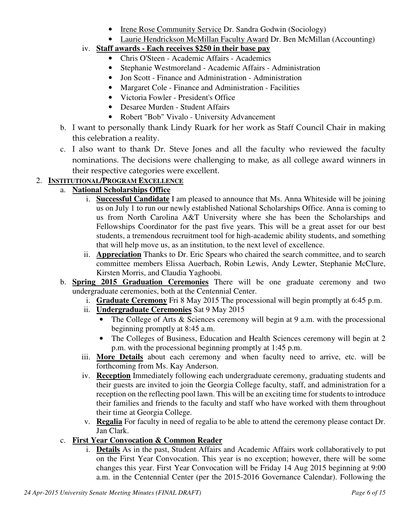- Irene Rose Community Service Dr. Sandra Godwin (Sociology)
- Laurie Hendrickson McMillan Faculty Award Dr. Ben McMillan (Accounting)

# iv. **Staff awards - Each receives \$250 in their base pay**

- Chris O'Steen Academic Affairs Academics
- Stephanie Westmoreland Academic Affairs Administration
- Jon Scott Finance and Administration Administration
- Margaret Cole Finance and Administration Facilities
- Victoria Fowler President's Office
- Desaree Murden Student Affairs
- Robert "Bob" Vivalo University Advancement
- b. I want to personally thank Lindy Ruark for her work as Staff Council Chair in making this celebration a reality.
- c. I also want to thank Dr. Steve Jones and all the faculty who reviewed the faculty nominations. The decisions were challenging to make, as all college award winners in their respective categories were excellent.

# 2. **INSTITUTIONAL/PROGRAM EXCELLENCE**

## a. **National Scholarships Office**

- i. **Successful Candidate** I am pleased to announce that Ms. Anna Whiteside will be joining us on July 1 to run our newly established National Scholarships Office. Anna is coming to us from North Carolina A&T University where she has been the Scholarships and Fellowships Coordinator for the past five years. This will be a great asset for our best students, a tremendous recruitment tool for high-academic ability students, and something that will help move us, as an institution, to the next level of excellence.
- ii. **Appreciation** Thanks to Dr. Eric Spears who chaired the search committee, and to search committee members Elissa Auerbach, Robin Lewis, Andy Lewter, Stephanie McClure, Kirsten Morris, and Claudia Yaghoobi.
- b. **Spring 2015 Graduation Ceremonies** There will be one graduate ceremony and two undergraduate ceremonies, both at the Centennial Center.
	- i. **Graduate Ceremony** Fri 8 May 2015 The processional will begin promptly at 6:45 p.m.
	- ii. **Undergraduate Ceremonies** Sat 9 May 2015
		- The College of Arts & Sciences ceremony will begin at 9 a.m. with the processional beginning promptly at 8:45 a.m.
		- The Colleges of Business, Education and Health Sciences ceremony will begin at 2 p.m. with the processional beginning promptly at 1:45 p.m.
	- iii. **More Details** about each ceremony and when faculty need to arrive, etc. will be forthcoming from Ms. Kay Anderson.
	- iv. **Reception** Immediately following each undergraduate ceremony, graduating students and their guests are invited to join the Georgia College faculty, staff, and administration for a reception on the reflecting pool lawn. This will be an exciting time for students to introduce their families and friends to the faculty and staff who have worked with them throughout their time at Georgia College.
	- v. **Regalia** For faculty in need of regalia to be able to attend the ceremony please contact Dr. Jan Clark.
- c. **First Year Convocation & Common Reader**
	- i. **Details** As in the past, Student Affairs and Academic Affairs work collaboratively to put on the First Year Convocation. This year is no exception; however, there will be some changes this year. First Year Convocation will be Friday 14 Aug 2015 beginning at 9:00 a.m. in the Centennial Center (per the 2015-2016 Governance Calendar). Following the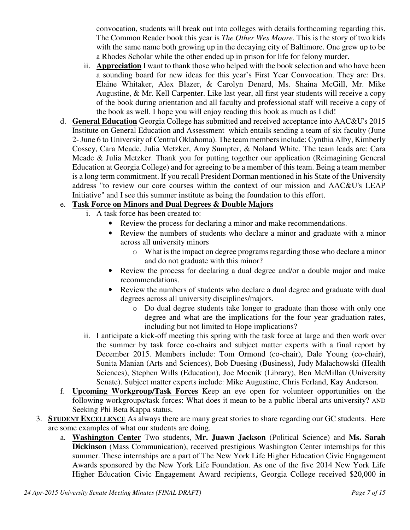convocation, students will break out into colleges with details forthcoming regarding this. The Common Reader book this year is *The Other Wes Moore*. This is the story of two kids with the same name both growing up in the decaying city of Baltimore. One grew up to be a Rhodes Scholar while the other ended up in prison for life for felony murder.

- ii. **Appreciation** I want to thank those who helped with the book selection and who have been a sounding board for new ideas for this year's First Year Convocation. They are: Drs. Elaine Whitaker, Alex Blazer, & Carolyn Denard, Ms. Shaina McGill, Mr. Mike Augustine, & Mr. Kell Carpenter. Like last year, all first year students will receive a copy of the book during orientation and all faculty and professional staff will receive a copy of the book as well. I hope you will enjoy reading this book as much as I did!
- d. **General Education** Georgia College has submitted and received acceptance into AAC&U's 2015 Institute on General Education and Assessment which entails sending a team of six faculty (June 2- June 6 to University of Central Oklahoma). The team members include: Cynthia Alby, Kimberly Cossey, Cara Meade, Julia Metzker, Amy Sumpter, & Noland White. The team leads are: Cara Meade & Julia Metzker. Thank you for putting together our application (Reimagining General Education at Georgia College) and for agreeing to be a member of this team. Being a team member is a long term commitment. If you recall President Dorman mentioned in his State of the University address "to review our core courses within the context of our mission and AAC&U's LEAP Initiative" and I see this summer institute as being the foundation to this effort.

### e. **Task Force on Minors and Dual Degrees & Double Majors**

- i. A task force has been created to:
	- Review the process for declaring a minor and make recommendations.
	- Review the numbers of students who declare a minor and graduate with a minor across all university minors
		- o What is the impact on degree programs regarding those who declare a minor and do not graduate with this minor?
	- Review the process for declaring a dual degree and/or a double major and make recommendations.
	- Review the numbers of students who declare a dual degree and graduate with dual degrees across all university disciplines/majors.
		- o Do dual degree students take longer to graduate than those with only one degree and what are the implications for the four year graduation rates, including but not limited to Hope implications?
- ii. I anticipate a kick-off meeting this spring with the task force at large and then work over the summer by task force co-chairs and subject matter experts with a final report by December 2015. Members include: Tom Ormond (co-chair), Dale Young (co-chair), Sunita Manian (Arts and Sciences), Bob Duesing (Business), Judy Malachowski (Health Sciences), Stephen Wills (Education), Joe Mocnik (Library), Ben McMillan (University Senate). Subject matter experts include: Mike Augustine, Chris Ferland, Kay Anderson.
- f. **Upcoming Workgroup/Task Forces** Keep an eye open for volunteer opportunities on the following workgroups/task forces: What does it mean to be a public liberal arts university? AND Seeking Phi Beta Kappa status.
- 3. **STUDENT EXCELLENCE** As always there are many great stories to share regarding our GC students. Here are some examples of what our students are doing.
	- a. **Washington Center** Two students, **Mr. Juawn Jackson** (Political Science) and **Ms. Sarah Dickinson** (Mass Communication), received prestigious Washington Center internships for this summer. These internships are a part of The New York Life Higher Education Civic Engagement Awards sponsored by the New York Life Foundation. As one of the five 2014 New York Life Higher Education Civic Engagement Award recipients, Georgia College received \$20,000 in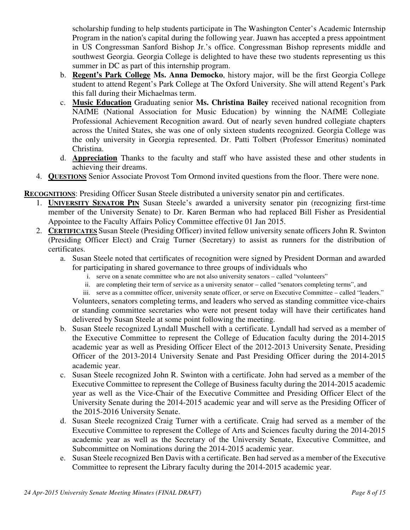scholarship funding to help students participate in The Washington Center's Academic Internship Program in the nation's capital during the following year. Juawn has accepted a press appointment in US Congressman Sanford Bishop Jr.'s office. Congressman Bishop represents middle and southwest Georgia. Georgia College is delighted to have these two students representing us this summer in DC as part of this internship program.

- b. **Regent's Park College Ms. Anna Democko**, history major, will be the first Georgia College student to attend Regent's Park College at The Oxford University. She will attend Regent's Park this fall during their Michaelmas term.
- c. **Music Education** Graduating senior **Ms. Christina Bailey** received national recognition from NAfME (National Association for Music Education) by winning the NAfME Collegiate Professional Achievement Recognition award. Out of nearly seven hundred collegiate chapters across the United States, she was one of only sixteen students recognized. Georgia College was the only university in Georgia represented. Dr. Patti Tolbert (Professor Emeritus) nominated Christina.
- d. **Appreciation** Thanks to the faculty and staff who have assisted these and other students in achieving their dreams.
- 4. **QUESTIONS** Senior Associate Provost Tom Ormond invited questions from the floor. There were none.

**RECOGNITIONS**: Presiding Officer Susan Steele distributed a university senator pin and certificates.

- 1. **UNIVERSITY SENATOR PIN** Susan Steele's awarded a university senator pin (recognizing first-time member of the University Senate) to Dr. Karen Berman who had replaced Bill Fisher as Presidential Appointee to the Faculty Affairs Policy Committee effective 01 Jan 2015.
- 2. **CERTIFICATES** Susan Steele (Presiding Officer) invited fellow university senate officers John R. Swinton (Presiding Officer Elect) and Craig Turner (Secretary) to assist as runners for the distribution of certificates.
	- a. Susan Steele noted that certificates of recognition were signed by President Dorman and awarded for participating in shared governance to three groups of individuals who
		- i. serve on a senate committee who are not also university senators called "volunteers"
		- ii. are completing their term of service as a university senator called "senators completing terms", and

iii. serve as a committee officer, university senate officer, or serve on Executive Committee – called "leaders." Volunteers, senators completing terms, and leaders who served as standing committee vice-chairs or standing committee secretaries who were not present today will have their certificates hand delivered by Susan Steele at some point following the meeting.

- b. Susan Steele recognized Lyndall Muschell with a certificate. Lyndall had served as a member of the Executive Committee to represent the College of Education faculty during the 2014-2015 academic year as well as Presiding Officer Elect of the 2012-2013 University Senate, Presiding Officer of the 2013-2014 University Senate and Past Presiding Officer during the 2014-2015 academic year.
- c. Susan Steele recognized John R. Swinton with a certificate. John had served as a member of the Executive Committee to represent the College of Business faculty during the 2014-2015 academic year as well as the Vice-Chair of the Executive Committee and Presiding Officer Elect of the University Senate during the 2014-2015 academic year and will serve as the Presiding Officer of the 2015-2016 University Senate.
- d. Susan Steele recognized Craig Turner with a certificate. Craig had served as a member of the Executive Committee to represent the College of Arts and Sciences faculty during the 2014-2015 academic year as well as the Secretary of the University Senate, Executive Committee, and Subcommittee on Nominations during the 2014-2015 academic year.
- e. Susan Steele recognized Ben Davis with a certificate. Ben had served as a member of the Executive Committee to represent the Library faculty during the 2014-2015 academic year.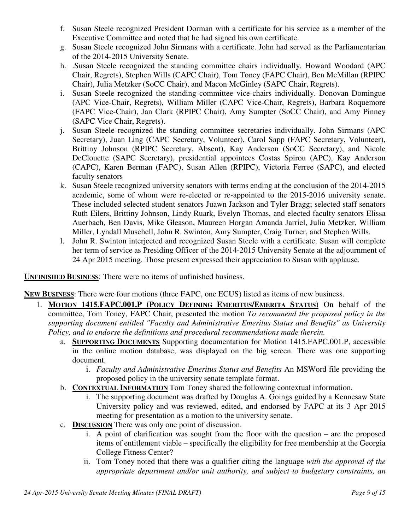- f. Susan Steele recognized President Dorman with a certificate for his service as a member of the Executive Committee and noted that he had signed his own certificate.
- g. Susan Steele recognized John Sirmans with a certificate. John had served as the Parliamentarian of the 2014-2015 University Senate.
- h. .Susan Steele recognized the standing committee chairs individually. Howard Woodard (APC Chair, Regrets), Stephen Wills (CAPC Chair), Tom Toney (FAPC Chair), Ben McMillan (RPIPC Chair), Julia Metzker (SoCC Chair), and Macon McGinley (SAPC Chair, Regrets).
- i. Susan Steele recognized the standing committee vice-chairs individually. Donovan Domingue (APC Vice-Chair, Regrets), William Miller (CAPC Vice-Chair, Regrets), Barbara Roquemore (FAPC Vice-Chair), Jan Clark (RPIPC Chair), Amy Sumpter (SoCC Chair), and Amy Pinney (SAPC Vice Chair, Regrets).
- j. Susan Steele recognized the standing committee secretaries individually. John Sirmans (APC Secretary), Juan Ling (CAPC Secretary, Volunteer), Carol Sapp (FAPC Secretary, Volunteer), Brittiny Johnson (RPIPC Secretary, Absent), Kay Anderson (SoCC Secretary), and Nicole DeClouette (SAPC Secretary), presidential appointees Costas Spirou (APC), Kay Anderson (CAPC), Karen Berman (FAPC), Susan Allen (RPIPC), Victoria Ferree (SAPC), and elected faculty senators
- k. Susan Steele recognized university senators with terms ending at the conclusion of the 2014-2015 academic, some of whom were re-elected or re-appointed to the 2015-2016 university senate. These included selected student senators Juawn Jackson and Tyler Bragg; selected staff senators Ruth Eilers, Brittiny Johnson, Lindy Ruark, Evelyn Thomas, and elected faculty senators Elissa Auerbach, Ben Davis, Mike Gleason, Maureen Horgan Amanda Jarriel, Julia Metzker, William Miller, Lyndall Muschell, John R. Swinton, Amy Sumpter, Craig Turner, and Stephen Wills.
- l. John R. Swinton interjected and recognized Susan Steele with a certificate. Susan will complete her term of service as Presiding Officer of the 2014-2015 University Senate at the adjournment of 24 Apr 2015 meeting. Those present expressed their appreciation to Susan with applause.

**UNFINISHED BUSINESS**: There were no items of unfinished business.

**NEW BUSINESS**: There were four motions (three FAPC, one ECUS) listed as items of new business.

- 1. **MOTION 1415.FAPC.001.P (POLICY DEFINING EMERITUS/EMERITA STATUS)** On behalf of the committee, Tom Toney, FAPC Chair, presented the motion *To recommend the proposed policy in the supporting document entitled "Faculty and Administrative Emeritus Status and Benefits" as University Policy, and to endorse the definitions and procedural recommendations made therein.*
	- a. **SUPPORTING DOCUMENTS** Supporting documentation for Motion 1415.FAPC.001.P, accessible in the online motion database, was displayed on the big screen. There was one supporting document.
		- i. *Faculty and Administrative Emeritus Status and Benefits* An MSWord file providing the proposed policy in the university senate template format.
	- b. **CONTEXTUAL INFORMATION** Tom Toney shared the following contextual information.
		- i. The supporting document was drafted by Douglas A. Goings guided by a Kennesaw State University policy and was reviewed, edited, and endorsed by FAPC at its 3 Apr 2015 meeting for presentation as a motion to the university senate.
	- c. **DISCUSSION** There was only one point of discussion.
		- i. A point of clarification was sought from the floor with the question are the proposed items of entitlement viable – specifically the eligibility for free membership at the Georgia College Fitness Center?
		- ii. Tom Toney noted that there was a qualifier citing the language *with the approval of the appropriate department and/or unit authority, and subject to budgetary constraints, an*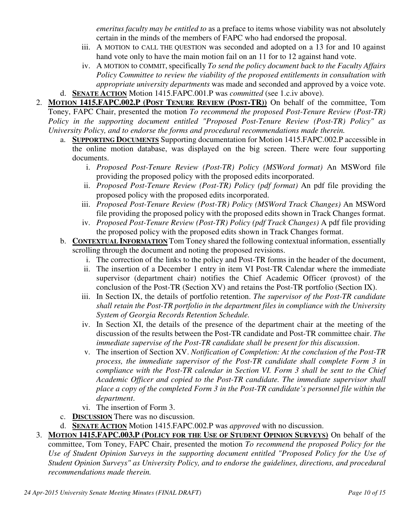*emeritus faculty may be entitled to* as a preface to items whose viability was not absolutely certain in the minds of the members of FAPC who had endorsed the proposal.

- iii. A MOTION to CALL THE QUESTION was seconded and adopted on a 13 for and 10 against hand vote only to have the main motion fail on an 11 for to 12 against hand vote.
- iv. A MOTION to COMMIT, specifically *To send the policy document back to the Faculty Affairs Policy Committee to review the viability of the proposed entitlements in consultation with appropriate university departments* was made and seconded and approved by a voice vote.
- d. **SENATE ACTION** Motion 1415.FAPC.001.P was *committed* (see 1.c.iv above).
- 2. **MOTION 1415.FAPC.002.P (POST TENURE REVIEW (POST-TR))** On behalf of the committee, Tom Toney, FAPC Chair, presented the motion *To recommend the proposed Post-Tenure Review (Post-TR) Policy in the supporting document entitled "Proposed Post-Tenure Review (Post-TR) Policy" as University Policy, and to endorse the forms and procedural recommendations made therein.*
	- a. **SUPPORTING DOCUMENTS** Supporting documentation for Motion 1415.FAPC.002.P accessible in the online motion database, was displayed on the big screen. There were four supporting documents.
		- i. *Proposed Post-Tenure Review (Post-TR) Policy (MSWord format)* An MSWord file providing the proposed policy with the proposed edits incorporated.
		- ii. *Proposed Post-Tenure Review (Post-TR) Policy (pdf format)* An pdf file providing the proposed policy with the proposed edits incorporated.
		- iii. *Proposed Post-Tenure Review (Post-TR) Policy (MSWord Track Changes)* An MSWord file providing the proposed policy with the proposed edits shown in Track Changes format.
		- iv. *Proposed Post-Tenure Review (Post-TR) Policy (pdf Track Changes)* A pdf file providing the proposed policy with the proposed edits shown in Track Changes format.
	- b. **CONTEXTUAL INFORMATION** Tom Toney shared the following contextual information, essentially scrolling through the document and noting the proposed revisions.
		- i. The correction of the links to the policy and Post-TR forms in the header of the document,
		- ii. The insertion of a December 1 entry in item VI Post-TR Calendar where the immediate supervisor (department chair) notifies the Chief Academic Officer (provost) of the conclusion of the Post-TR (Section XV) and retains the Post-TR portfolio (Section IX).
		- iii. In Section IX, the details of portfolio retention. *The supervisor of the Post-TR candidate shall retain the Post-TR portfolio in the department files in compliance with the University System of Georgia Records Retention Schedule.*
		- iv. In Section XI, the details of the presence of the department chair at the meeting of the discussion of the results between the Post-TR candidate and Post-TR committee chair. *The immediate supervise of the Post-TR candidate shall be present for this discussion*.
		- v. The insertion of Section XV. *Notification of Completion: At the conclusion of the Post-TR process, the immediate supervisor of the Post-TR candidate shall complete Form 3 in compliance with the Post-TR calendar in Section VI. Form 3 shall be sent to the Chief Academic Officer and copied to the Post-TR candidate. The immediate supervisor shall place a copy of the completed Form 3 in the Post-TR candidate's personnel file within the department*.
		- vi. The insertion of Form 3.
	- c. **DISCUSSION** There was no discussion.
	- d. **SENATE ACTION** Motion 1415.FAPC.002.P was *approved* with no discussion.
- 3. **MOTION 1415.FAPC.003.P (POLICY FOR THE USE OF STUDENT OPINION SURVEYS)** On behalf of the committee, Tom Toney, FAPC Chair, presented the motion *To recommend the proposed Policy for the Use of Student Opinion Surveys in the supporting document entitled "Proposed Policy for the Use of Student Opinion Surveys" as University Policy, and to endorse the guidelines, directions, and procedural recommendations made therein.*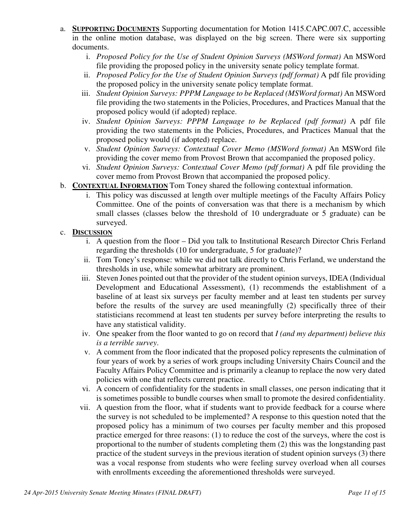- a. **SUPPORTING DOCUMENTS** Supporting documentation for Motion 1415.CAPC.007.C, accessible in the online motion database, was displayed on the big screen. There were six supporting documents.
	- i. *Proposed Policy for the Use of Student Opinion Surveys (MSWord format)* An MSWord file providing the proposed policy in the university senate policy template format.
	- ii. *Proposed Policy for the Use of Student Opinion Surveys (pdf format)* A pdf file providing the proposed policy in the university senate policy template format.
	- iii. *Student Opinion Surveys: PPPM Language to be Replaced (MSWord format)* An MSWord file providing the two statements in the Policies, Procedures, and Practices Manual that the proposed policy would (if adopted) replace.
	- iv. *Student Opinion Surveys: PPPM Language to be Replaced (pdf format)* A pdf file providing the two statements in the Policies, Procedures, and Practices Manual that the proposed policy would (if adopted) replace.
	- v. *Student Opinion Surveys: Contextual Cover Memo (MSWord format)* An MSWord file providing the cover memo from Provost Brown that accompanied the proposed policy.
	- vi. *Student Opinion Surveys: Contextual Cover Memo (pdf format)* A pdf file providing the cover memo from Provost Brown that accompanied the proposed policy.
- b. **CONTEXTUAL INFORMATION** Tom Toney shared the following contextual information.
	- i. This policy was discussed at length over multiple meetings of the Faculty Affairs Policy Committee. One of the points of conversation was that there is a mechanism by which small classes (classes below the threshold of 10 undergraduate or 5 graduate) can be surveyed.

## c. **DISCUSSION**

- i. A question from the floor Did you talk to Institutional Research Director Chris Ferland regarding the thresholds (10 for undergraduate, 5 for graduate)?
- ii. Tom Toney's response: while we did not talk directly to Chris Ferland, we understand the thresholds in use, while somewhat arbitrary are prominent.
- iii. Steven Jones pointed out that the provider of the student opinion surveys, IDEA (Individual Development and Educational Assessment), (1) recommends the establishment of a baseline of at least six surveys per faculty member and at least ten students per survey before the results of the survey are used meaningfully (2) specifically three of their statisticians recommend at least ten students per survey before interpreting the results to have any statistical validity.
- iv. One speaker from the floor wanted to go on record that *I (and my department) believe this is a terrible survey*.
- v. A comment from the floor indicated that the proposed policy represents the culmination of four years of work by a series of work groups including University Chairs Council and the Faculty Affairs Policy Committee and is primarily a cleanup to replace the now very dated policies with one that reflects current practice.
- vi. A concern of confidentiality for the students in small classes, one person indicating that it is sometimes possible to bundle courses when small to promote the desired confidentiality.
- vii. A question from the floor, what if students want to provide feedback for a course where the survey is not scheduled to be implemented? A response to this question noted that the proposed policy has a minimum of two courses per faculty member and this proposed practice emerged for three reasons: (1) to reduce the cost of the surveys, where the cost is proportional to the number of students completing them (2) this was the longstanding past practice of the student surveys in the previous iteration of student opinion surveys (3) there was a vocal response from students who were feeling survey overload when all courses with enrollments exceeding the aforementioned thresholds were surveyed.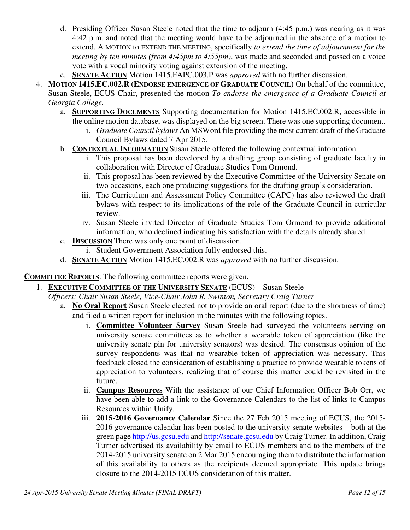- d. Presiding Officer Susan Steele noted that the time to adjourn (4:45 p.m.) was nearing as it was 4:42 p.m. and noted that the meeting would have to be adjourned in the absence of a motion to extend. A MOTION to EXTEND THE MEETING, specifically *to extend the time of adjournment for the meeting by ten minutes (from 4:45pm to 4:55pm)*, was made and seconded and passed on a voice vote with a vocal minority voting against extension of the meeting.
- e. **SENATE ACTION** Motion 1415.FAPC.003.P was *approved* with no further discussion.
- 4. **MOTION 1415.EC.002.R (ENDORSE EMERGENCE OF GRADUATE COUNCIL)** On behalf of the committee, Susan Steele, ECUS Chair, presented the motion *To endorse the emergence of a Graduate Council at Georgia College.*
	- a. **SUPPORTING DOCUMENTS** Supporting documentation for Motion 1415.EC.002.R, accessible in the online motion database, was displayed on the big screen. There was one supporting document.
		- i. *Graduate Council bylaws* An MSWord file providing the most current draft of the Graduate Council Bylaws dated 7 Apr 2015.
	- b. **CONTEXTUAL INFORMATION** Susan Steele offered the following contextual information.
		- i. This proposal has been developed by a drafting group consisting of graduate faculty in collaboration with Director of Graduate Studies Tom Ormond.
		- ii. This proposal has been reviewed by the Executive Committee of the University Senate on two occasions, each one producing suggestions for the drafting group's consideration.
		- iii. The Curriculum and Assessment Policy Committee (CAPC) has also reviewed the draft bylaws with respect to its implications of the role of the Graduate Council in curricular review.
		- iv. Susan Steele invited Director of Graduate Studies Tom Ormond to provide additional information, who declined indicating his satisfaction with the details already shared.
	- c. **DISCUSSION** There was only one point of discussion.
		- i. Student Government Association fully endorsed this.
	- d. **SENATE ACTION** Motion 1415.EC.002.R was *approved* with no further discussion.

**COMMITTEE REPORTS**: The following committee reports were given.

- 1. **EXECUTIVE COMMITTEE OF THE UNIVERSITY SENATE** (ECUS) Susan Steele
	- *Officers: Chair Susan Steele, Vice-Chair John R. Swinton, Secretary Craig Turner*
		- a. **No Oral Report** Susan Steele elected not to provide an oral report (due to the shortness of time) and filed a written report for inclusion in the minutes with the following topics.
			- i. **Committee Volunteer Survey** Susan Steele had surveyed the volunteers serving on university senate committees as to whether a wearable token of appreciation (like the university senate pin for university senators) was desired. The consensus opinion of the survey respondents was that no wearable token of appreciation was necessary. This feedback closed the consideration of establishing a practice to provide wearable tokens of appreciation to volunteers, realizing that of course this matter could be revisited in the future.
			- ii. **Campus Resources** With the assistance of our Chief Information Officer Bob Orr, we have been able to add a link to the Governance Calendars to the list of links to Campus Resources within Unify.
			- iii. **2015-2016 Governance Calendar** Since the 27 Feb 2015 meeting of ECUS, the 2015- 2016 governance calendar has been posted to the university senate websites – both at the green page http://us.gcsu.edu and http://senate.gcsu.edu by Craig Turner. In addition, Craig Turner advertised its availability by email to ECUS members and to the members of the 2014-2015 university senate on 2 Mar 2015 encouraging them to distribute the information of this availability to others as the recipients deemed appropriate. This update brings closure to the 2014-2015 ECUS consideration of this matter.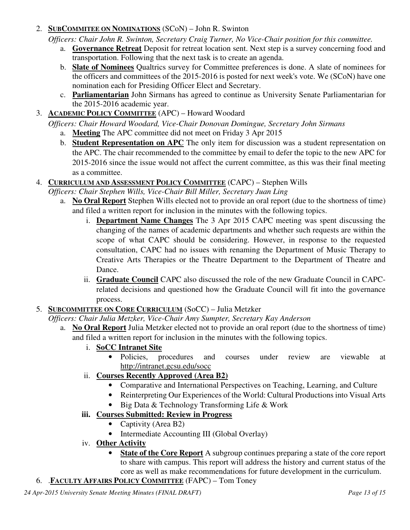### 2. **SUBCOMMITEE ON NOMINATIONS** (SCoN) – John R. Swinton

*Officers: Chair John R. Swinton, Secretary Craig Turner, No Vice-Chair position for this committee.*

- a. **Governance Retreat** Deposit for retreat location sent. Next step is a survey concerning food and transportation. Following that the next task is to create an agenda.
- b. **Slate of Nominees** Qualtrics survey for Committee preferences is done. A slate of nominees for the officers and committees of the 2015-2016 is posted for next week's vote. We (SCoN) have one nomination each for Presiding Officer Elect and Secretary.
- c. **Parliamentarian** John Sirmans has agreed to continue as University Senate Parliamentarian for the 2015-2016 academic year.
- 3. **ACADEMIC POLICY COMMITTEE** (APC) Howard Woodard

*Officers: Chair Howard Woodard, Vice-Chair Donovan Domingue, Secretary John Sirmans*

- a. **Meeting** The APC committee did not meet on Friday 3 Apr 2015
- b. **Student Representation on APC** The only item for discussion was a student representation on the APC. The chair recommended to the committee by email to defer the topic to the new APC for 2015-2016 since the issue would not affect the current committee, as this was their final meeting as a committee.
- 4. **CURRICULUM AND ASSESSMENT POLICY COMMITTEE** (CAPC) Stephen Wills

*Officers: Chair Stephen Wills, Vice-Chair Bill Miller, Secretary Juan Ling*

- a. **No Oral Report** Stephen Wills elected not to provide an oral report (due to the shortness of time) and filed a written report for inclusion in the minutes with the following topics.
	- i. **Department Name Changes** The 3 Apr 2015 CAPC meeting was spent discussing the changing of the names of academic departments and whether such requests are within the scope of what CAPC should be considering. However, in response to the requested consultation, CAPC had no issues with renaming the Department of Music Therapy to Creative Arts Therapies or the Theatre Department to the Department of Theatre and Dance.
	- ii. **Graduate Council** CAPC also discussed the role of the new Graduate Council in CAPCrelated decisions and questioned how the Graduate Council will fit into the governance process.
- 5. **SUBCOMMITTEE ON CORE CURRICULUM** (SoCC) Julia Metzker
	- *Officers: Chair Julia Metzker, Vice-Chair Amy Sumpter, Secretary Kay Anderson*
		- a. **No Oral Report** Julia Metzker elected not to provide an oral report (due to the shortness of time) and filed a written report for inclusion in the minutes with the following topics.
			- i. **SoCC Intranet Site**
				- Policies, procedures and courses under review are viewable at http://intranet.gcsu.edu/socc
			- ii. **Courses Recently Approved (Area B2)**
				- Comparative and International Perspectives on Teaching, Learning, and Culture
				- Reinterpreting Our Experiences of the World: Cultural Productions into Visual Arts
				- Big Data & Technology Transforming Life & Work
			- **iii. Courses Submitted: Review in Progress** 
				- Captivity (Area B2)
				- Intermediate Accounting III (Global Overlay)
			- iv. **Other Activity**
				- **State of the Core Report** A subgroup continues preparing a state of the core report to share with campus. This report will address the history and current status of the core as well as make recommendations for future development in the curriculum.
- 6. .**FACULTY AFFAIRS POLICY COMMITTEE** (FAPC) Tom Toney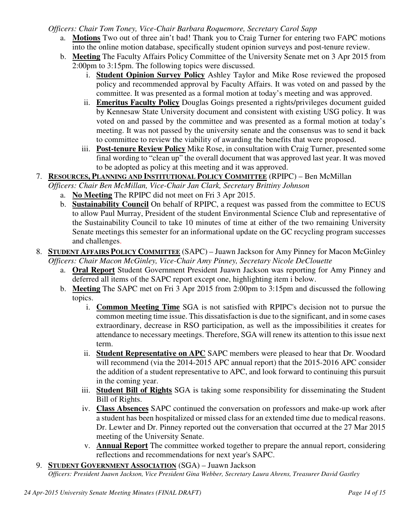#### *Officers: Chair Tom Toney, Vice-Chair Barbara Roquemore, Secretary Carol Sapp*

- a. **Motions** Two out of three ain't bad! Thank you to Craig Turner for entering two FAPC motions into the online motion database, specifically student opinion surveys and post-tenure review.
- b. **Meeting** The Faculty Affairs Policy Committee of the University Senate met on 3 Apr 2015 from 2:00pm to 3:15pm. The following topics were discussed.
	- i. **Student Opinion Survey Policy** Ashley Taylor and Mike Rose reviewed the proposed policy and recommended approval by Faculty Affairs. It was voted on and passed by the committee. It was presented as a formal motion at today's meeting and was approved.
	- ii. **Emeritus Faculty Policy** Douglas Goings presented a rights/privileges document guided by Kennesaw State University document and consistent with existing USG policy. It was voted on and passed by the committee and was presented as a formal motion at today's meeting. It was not passed by the university senate and the consensus was to send it back to committee to review the viability of awarding the benefits that were proposed.
	- iii. **Post-tenure Review Policy** Mike Rose, in consultation with Craig Turner, presented some final wording to "clean up" the overall document that was approved last year. It was moved to be adopted as policy at this meeting and it was approved.
- 7. **RESOURCES, PLANNING AND INSTITUTIONAL POLICY COMMITTEE** (RPIPC) Ben McMillan
	- *Officers: Chair Ben McMillan, Vice-Chair Jan Clark, Secretary Brittiny Johnson* 
		- a. **No Meeting** The RPIPC did not meet on Fri 3 Apr 2015.
		- b. **Sustainability Council** On behalf of RPIPC, a request was passed from the committee to ECUS to allow Paul Murray, President of the student Environmental Science Club and representative of the Sustainability Council to take 10 minutes of time at either of the two remaining University Senate meetings this semester for an informational update on the GC recycling program successes and challenges.
- 8. **STUDENT AFFAIRS POLICY COMMITTEE** (SAPC) Juawn Jackson for Amy Pinney for Macon McGinley *Officers: Chair Macon McGinley, Vice-Chair Amy Pinney, Secretary Nicole DeClouette*
	- a. **Oral Report** Student Government President Juawn Jackson was reporting for Amy Pinney and deferred all items of the SAPC report except one, highlighting item i below.
	- b. **Meeting** The SAPC met on Fri 3 Apr 2015 from 2:00pm to 3:15pm and discussed the following topics.
		- i. **Common Meeting Time** SGA is not satisfied with RPIPC's decision not to pursue the common meeting time issue. This dissatisfaction is due to the significant, and in some cases extraordinary, decrease in RSO participation, as well as the impossibilities it creates for attendance to necessary meetings. Therefore, SGA will renew its attention to this issue next term.
		- ii. **Student Representative on APC** SAPC members were pleased to hear that Dr. Woodard will recommend (via the 2014-2015 APC annual report) that the 2015-2016 APC consider the addition of a student representative to APC, and look forward to continuing this pursuit in the coming year.
		- iii. **Student Bill of Rights** SGA is taking some responsibility for disseminating the Student Bill of Rights.
		- iv. **Class Absences** SAPC continued the conversation on professors and make-up work after a student has been hospitalized or missed class for an extended time due to medical reasons. Dr. Lewter and Dr. Pinney reported out the conversation that occurred at the 27 Mar 2015 meeting of the University Senate.
		- v. **Annual Report** The committee worked together to prepare the annual report, considering reflections and recommendations for next year's SAPC.
- 9. **STUDENT GOVERNMENT ASSOCIATION** (SGA) Juawn Jackson

*Officers: President Juawn Jackson, Vice President Gina Webber, Secretary Laura Ahrens, Treasurer David Gastley*